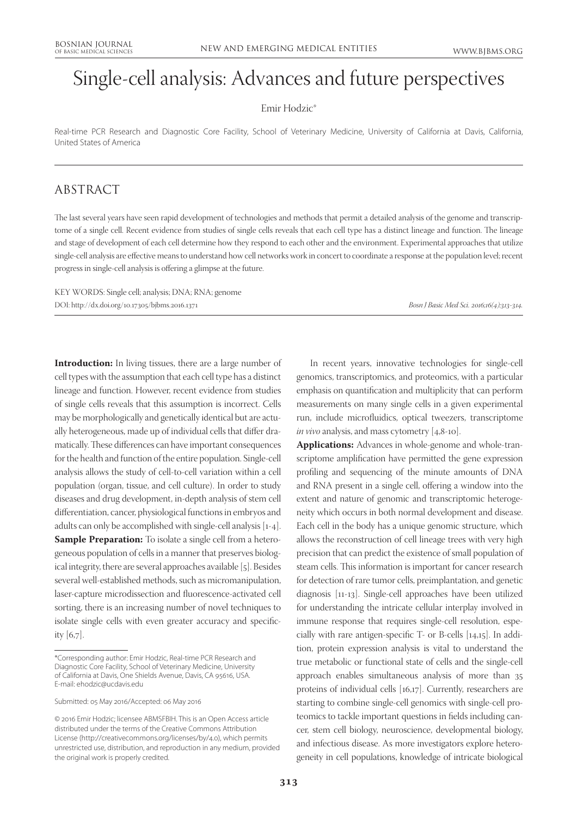# Single-cell analysis: Advances and future perspectives

#### Emir Hodzic\*

Real-time PCR Research and Diagnostic Core Facility, School of Veterinary Medicine, University of California at Davis, California, United States of America

### ABSTRACT

The last several years have seen rapid development of technologies and methods that permit a detailed analysis of the genome and transcriptome of a single cell. Recent evidence from studies of single cells reveals that each cell type has a distinct lineage and function. The lineage and stage of development of each cell determine how they respond to each other and the environment. Experimental approaches that utilize single-cell analysis are effective means to understand how cell networks work in concert to coordinate a response at the population level; recent progress in single-cell analysis is offering a glimpse at the future.

KEY WORDS: Single cell; analysis; DNA; RNA; genome DOI: http://dx.doi.org/10.17305/bjbms.2016.1371 *Bosn J Basic Med Sci. 2016;16(4):313-314.*

**Introduction:** In living tissues, there are a large number of cell types with the assumption that each cell type has a distinct lineage and function. However, recent evidence from studies of single cells reveals that this assumption is incorrect. Cells may be morphologically and genetically identical but are actually heterogeneous, made up of individual cells that differ dramatically. These differences can have important consequences for the health and function of the entire population. Single-cell analysis allows the study of cell-to-cell variation within a cell population (organ, tissue, and cell culture). In order to study diseases and drug development, in-depth analysis of stem cell differentiation, cancer, physiological functions in embryos and adults can only be accomplished with single-cell analysis [1-4]. **Sample Preparation:** To isolate a single cell from a heterogeneous population of cells in a manner that preserves biological integrity, there are several approaches available [5]. Besides several well-established methods, such as micromanipulation, laser-capture microdissection and fluorescence-activated cell sorting, there is an increasing number of novel techniques to isolate single cells with even greater accuracy and specificity [6,7].

Submitted: 05 May 2016/Accepted: 06 May 2016

© 2016 Emir Hodzic; licensee ABMSFBIH. This is an Open Access article distributed under the terms of the Creative Commons Attribution License (http://creativecommons.org/licenses/by/4.0), which permits unrestricted use, distribution, and reproduction in any medium, provided the original work is properly credited.

In recent years, innovative technologies for single-cell genomics, transcriptomics, and proteomics, with a particular emphasis on quantification and multiplicity that can perform measurements on many single cells in a given experimental run, include microfluidics, optical tweezers, transcriptome *in vivo* analysis, and mass cytometry [4,8-10].

**Applications:** Advances in whole-genome and whole-transcriptome amplification have permitted the gene expression profiling and sequencing of the minute amounts of DNA and RNA present in a single cell, offering a window into the extent and nature of genomic and transcriptomic heterogeneity which occurs in both normal development and disease. Each cell in the body has a unique genomic structure, which allows the reconstruction of cell lineage trees with very high precision that can predict the existence of small population of steam cells. This information is important for cancer research for detection of rare tumor cells, preimplantation, and genetic diagnosis [11-13]. Single-cell approaches have been utilized for understanding the intricate cellular interplay involved in immune response that requires single-cell resolution, especially with rare antigen-specific T- or B-cells [14,15]. In addition, protein expression analysis is vital to understand the true metabolic or functional state of cells and the single-cell approach enables simultaneous analysis of more than 35 proteins of individual cells [16,17]. Currently, researchers are starting to combine single-cell genomics with single-cell proteomics to tackle important questions in fields including cancer, stem cell biology, neuroscience, developmental biology, and infectious disease. As more investigators explore heterogeneity in cell populations, knowledge of intricate biological

<sup>\*</sup>Corresponding author: Emir Hodzic, Real-time PCR Research and Diagnostic Core Facility, School of Veterinary Medicine, University of California at Davis, One Shields Avenue, Davis, CA 95616, USA. E-mail: ehodzic@ucdavis.edu